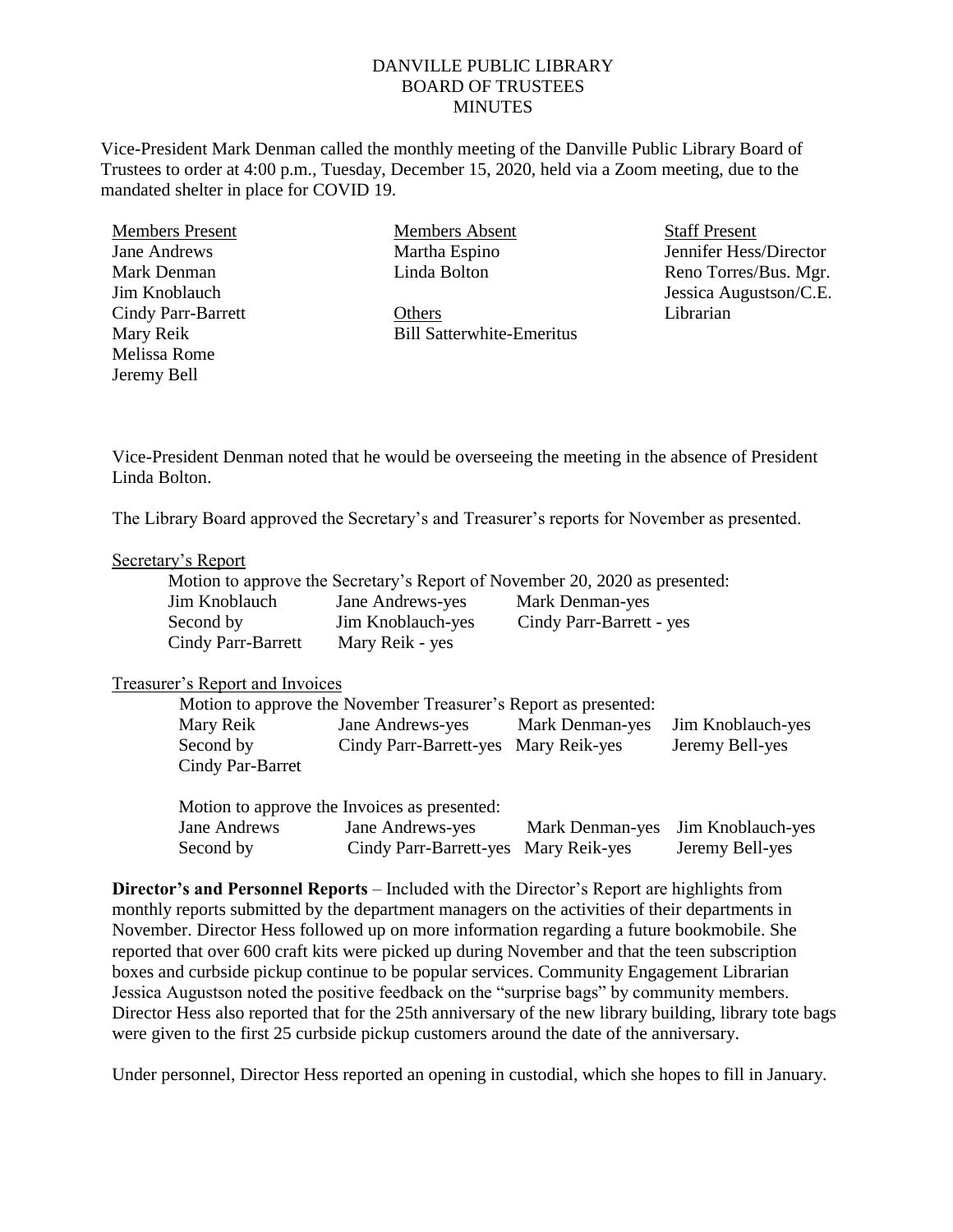## DANVILLE PUBLIC LIBRARY BOARD OF TRUSTEES **MINUTES**

Vice-President Mark Denman called the monthly meeting of the Danville Public Library Board of Trustees to order at 4:00 p.m., Tuesday, December 15, 2020, held via a Zoom meeting, due to the mandated shelter in place for COVID 19.

Members Present Jane Andrews Mark Denman Jim Knoblauch Cindy Parr-Barrett Mary Reik Melissa Rome Jeremy Bell

Members Absent Martha Espino Linda Bolton

**Others** Bill Satterwhite-Emeritus Staff Present Jennifer Hess/Director Reno Torres/Bus. Mgr. Jessica Augustson/C.E. Librarian

Vice-President Denman noted that he would be overseeing the meeting in the absence of President Linda Bolton.

The Library Board approved the Secretary's and Treasurer's reports for November as presented.

## Secretary's Report

|                    |                   | Motion to approve the Secretary's Report of November 20, 2020 as presented: |
|--------------------|-------------------|-----------------------------------------------------------------------------|
| Jim Knoblauch      | Jane Andrews-yes  | Mark Denman-yes                                                             |
| Second by          | Jim Knoblauch-yes | Cindy Parr-Barrett - yes                                                    |
| Cindy Parr-Barrett | Mary Reik - yes   |                                                                             |

## Treasurer's Report and Invoices

| Motion to approve the November Treasurer's Report as presented: |                                      |                                   |                 |
|-----------------------------------------------------------------|--------------------------------------|-----------------------------------|-----------------|
| Mary Reik                                                       | Jane Andrews-yes                     | Mark Denman-yes Jim Knoblauch-yes |                 |
| Second by<br>Cindy Par-Barret                                   | Cindy Parr-Barrett-yes Mary Reik-yes |                                   | Jeremy Bell-yes |
|                                                                 |                                      |                                   |                 |

|              | Motion to approve the Invoices as presented: |                                   |
|--------------|----------------------------------------------|-----------------------------------|
| Jane Andrews | <b>Jane Andrews-yes</b>                      | Mark Denman-yes Jim Knoblauch-yes |
| Second by    | Cindy Parr-Barrett-yes Mary Reik-yes         | Jeremy Bell-yes                   |

**Director's and Personnel Reports** – Included with the Director's Report are highlights from monthly reports submitted by the department managers on the activities of their departments in November. Director Hess followed up on more information regarding a future bookmobile. She reported that over 600 craft kits were picked up during November and that the teen subscription boxes and curbside pickup continue to be popular services. Community Engagement Librarian Jessica Augustson noted the positive feedback on the "surprise bags" by community members. Director Hess also reported that for the 25th anniversary of the new library building, library tote bags were given to the first 25 curbside pickup customers around the date of the anniversary.

Under personnel, Director Hess reported an opening in custodial, which she hopes to fill in January.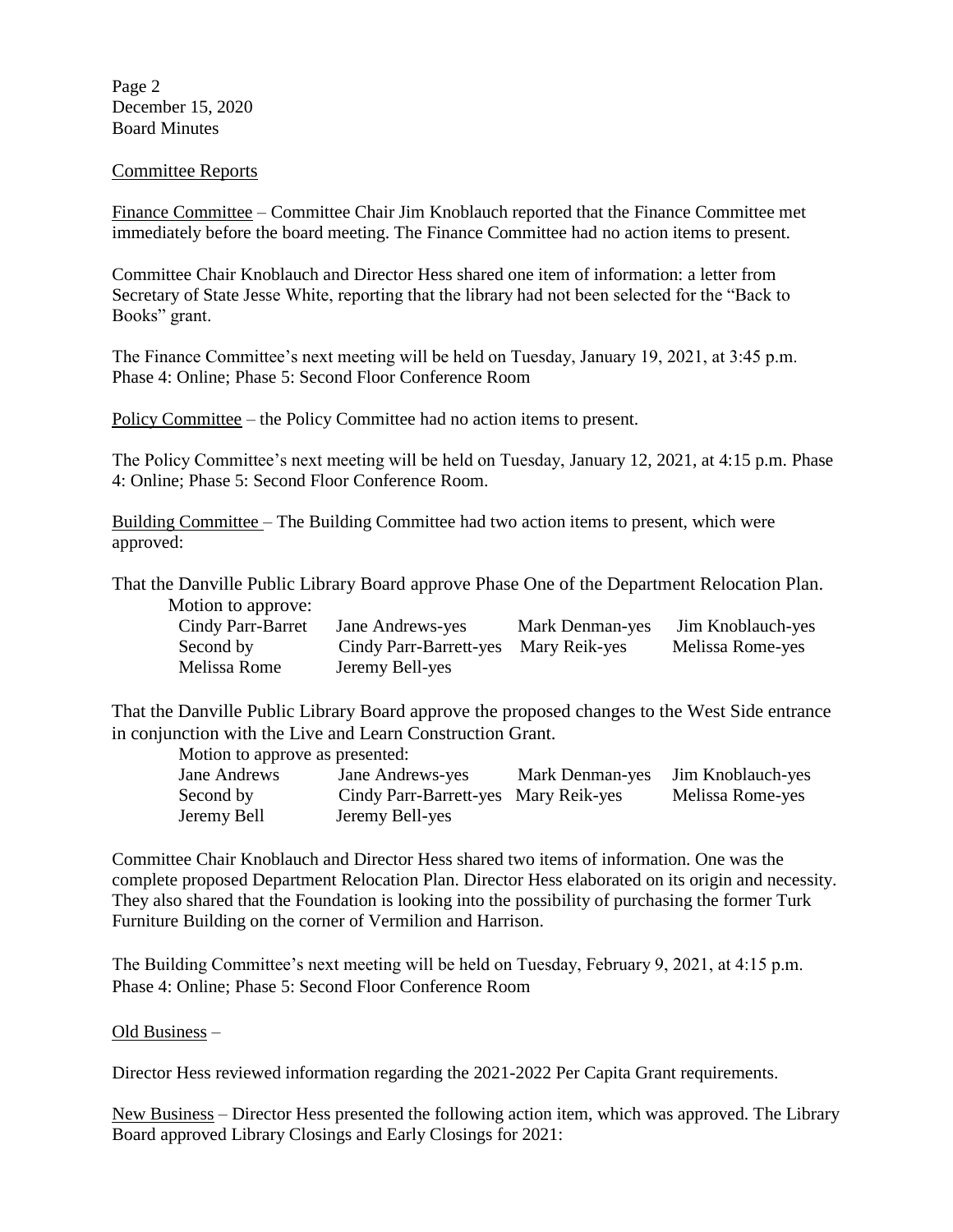Page 2 December 15, 2020 Board Minutes

## Committee Reports

Finance Committee – Committee Chair Jim Knoblauch reported that the Finance Committee met immediately before the board meeting. The Finance Committee had no action items to present.

Committee Chair Knoblauch and Director Hess shared one item of information: a letter from Secretary of State Jesse White, reporting that the library had not been selected for the "Back to Books" grant.

The Finance Committee's next meeting will be held on Tuesday, January 19, 2021, at 3:45 p.m. Phase 4: Online; Phase 5: Second Floor Conference Room

Policy Committee – the Policy Committee had no action items to present.

The Policy Committee's next meeting will be held on Tuesday, January 12, 2021, at 4:15 p.m. Phase 4: Online; Phase 5: Second Floor Conference Room.

Building Committee – The Building Committee had two action items to present, which were approved:

That the Danville Public Library Board approve Phase One of the Department Relocation Plan. Motion to approve:

| Cindy Parr-Barret | Jane Andrews-yes                     | Mark Denman-yes | Jim Knoblauch-yes |
|-------------------|--------------------------------------|-----------------|-------------------|
| Second by         | Cindy Parr-Barrett-yes Mary Reik-yes |                 | Melissa Rome-yes  |
| Melissa Rome      | Jeremy Bell-yes                      |                 |                   |

That the Danville Public Library Board approve the proposed changes to the West Side entrance in conjunction with the Live and Learn Construction Grant.

Motion to approve as presented:

Jane Andrews Jane Andrews-yes Mark Denman-yes Jim Knoblauch-yes Second by Cindy Parr-Barrett-yes Mary Reik-yes Melissa Rome-yes Jeremy Bell Jeremy Bell-yes

Committee Chair Knoblauch and Director Hess shared two items of information. One was the complete proposed Department Relocation Plan. Director Hess elaborated on its origin and necessity. They also shared that the Foundation is looking into the possibility of purchasing the former Turk Furniture Building on the corner of Vermilion and Harrison.

The Building Committee's next meeting will be held on Tuesday, February 9, 2021, at 4:15 p.m. Phase 4: Online; Phase 5: Second Floor Conference Room

Old Business –

Director Hess reviewed information regarding the 2021-2022 Per Capita Grant requirements.

New Business – Director Hess presented the following action item, which was approved. The Library Board approved Library Closings and Early Closings for 2021: